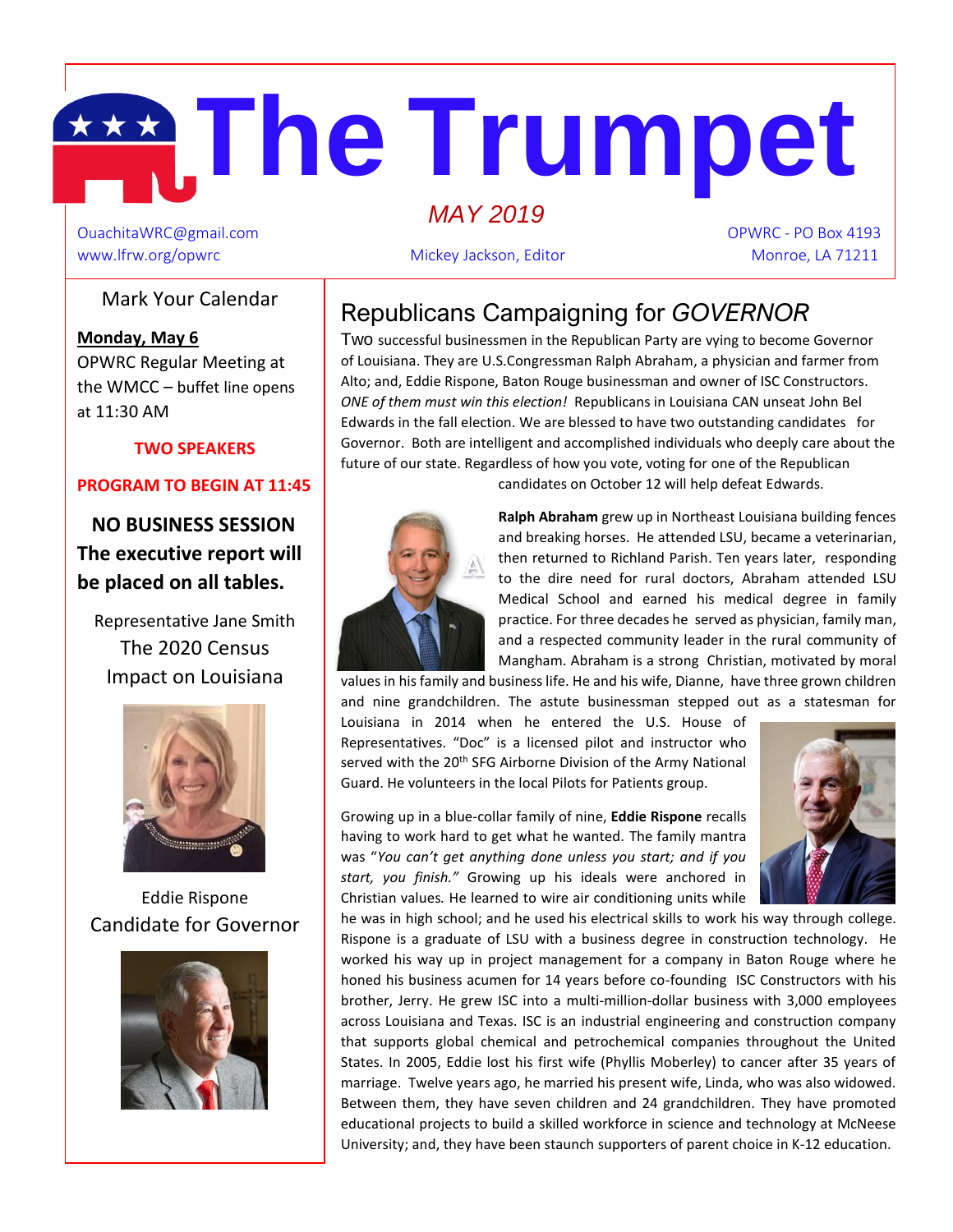# **The Trumpet**   *MAY 2019*

OuachitaWRC@gmail.com OPWRC - PO Box 4193 www.lfrw.org/opwrc Mickey Jackson, Editor Monroe, LA 71211

## Mark Your Calendar

 **Monday, May 6** m at 11:30 AM OPWRC Regular Meeting at the WMCC – buffet line opens

### **TWO SPEAKERS**

### **PROGRAM TO BEGIN AT 11:45**

 **NO BUSINESS SESSION The executive report will be placed on all tables.**

Representative Jane Smith The 2020 Census Impact on Louisiana



Eddie Rispone Candidate for Governor



Republicans Campaigning for *GOVERNOR* 

Two successful businessmen in the Republican Party are vying to become Governor of Louisiana. They are U.S.Congressman Ralph Abraham, a physician and farmer from Alto; and, Eddie Rispone, Baton Rouge businessman and owner of ISC Constructors. *ONE of them must win this election!* Republicans in Louisiana CAN unseat John Bel Edwards in the fall election. We are blessed to have two outstanding candidates for Governor. Both are intelligent and accomplished individuals who deeply care about the future of our state. Regardless of how you vote, voting for one of the Republican

candidates on October 12 will help defeat Edwards.



**Ralph Abraham** grew up in Northeast Louisiana building fences and breaking horses. He attended LSU, became a veterinarian, then returned to Richland Parish. Ten years later, responding to the dire need for rural doctors, Abraham attended LSU Medical School and earned his medical degree in family practice. For three decades he served as physician, family man, and a respected community leader in the rural community of Mangham. Abraham is a strong Christian, motivated by moral

values in his family and business life. He and his wife, Dianne, have three grown children and nine grandchildren. The astute businessman stepped out as a statesman for

Louisiana in 2014 when he entered the U.S. House of Representatives. "Doc" is a licensed pilot and instructor who served with the 20<sup>th</sup> SFG Airborne Division of the Army National Guard. He volunteers in the local Pilots for Patients group.

Growing up in a blue-collar family of nine, **Eddie Rispone** recalls having to work hard to get what he wanted. The family mantra was "*You can't get anything done unless you start; and if you start, you finish."* Growing up his ideals were anchored in Christian values*.* He learned to wire air conditioning units while



he was in high school; and he used his electrical skills to work his way through college. Rispone is a graduate of LSU with a business degree in construction technology. He worked his way up in project management for a company in Baton Rouge where he honed his business acumen for 14 years before co-founding ISC Constructors with his brother, Jerry. He grew ISC into a multi-million-dollar business with 3,000 employees across Louisiana and Texas. ISC is an industrial engineering and construction company that supports global chemical and petrochemical companies throughout the United States. In 2005, Eddie lost his first wife (Phyllis Moberley) to cancer after 35 years of marriage. Twelve years ago, he married his present wife, Linda, who was also widowed. Between them, they have seven children and 24 grandchildren. They have promoted educational projects to build a skilled workforce in science and technology at McNeese University; and, they have been staunch supporters of parent choice in K-12 education.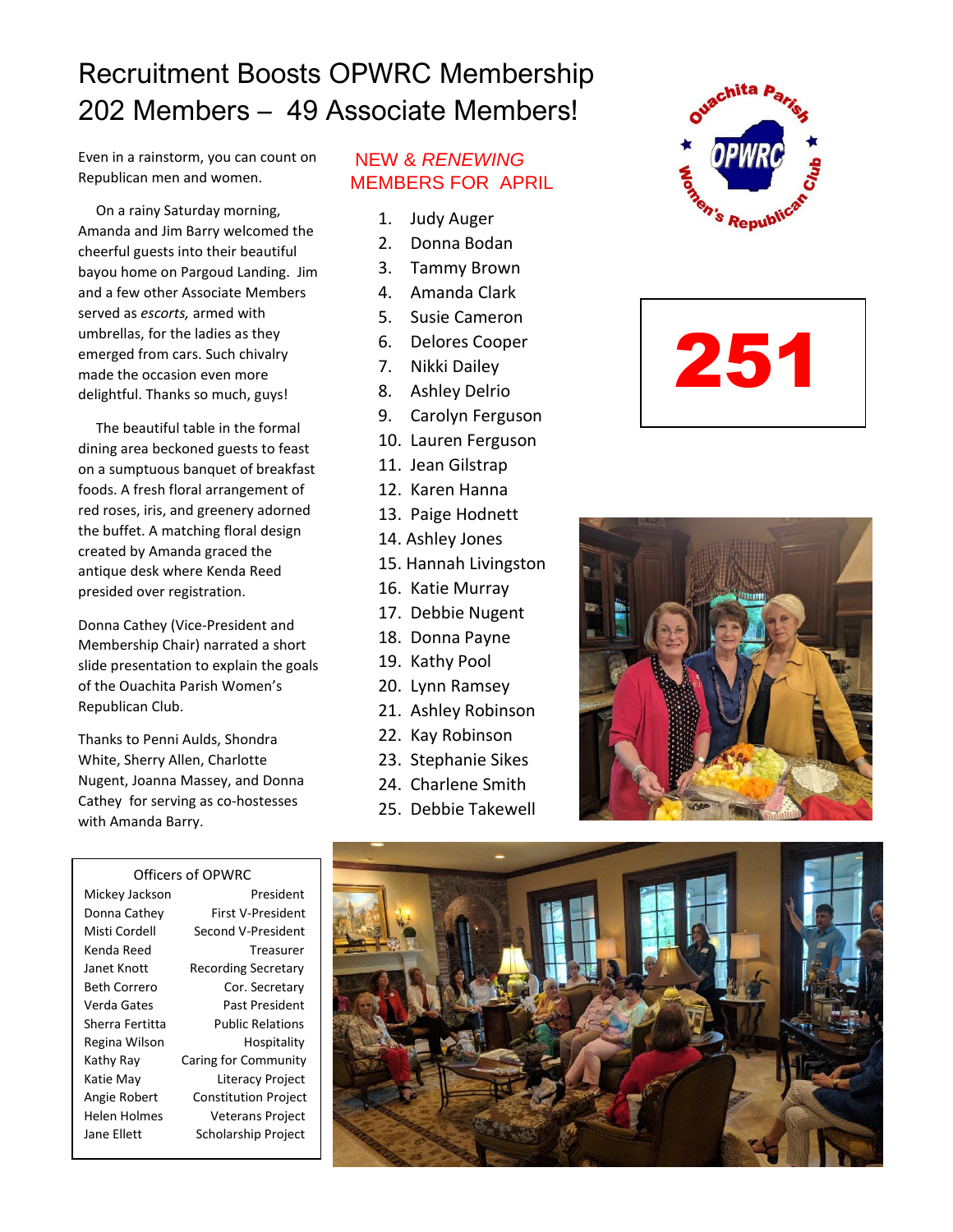# Recruitment Boosts OPWRC Membership 202 Members – 49 Associate Members!

Even in a rainstorm, you can count on Republican men and women.

 umbrellas, for the ladies as they On a rainy Saturday morning, Amanda and Jim Barry welcomed the cheerful guests into their beautiful bayou home on Pargoud Landing. Jim and a few other Associate Members served as *escorts,* armed with emerged from cars. Such chivalry made the occasion even more delightful. Thanks so much, guys!

 The beautiful table in the formal dining area beckoned guests to feast on a sumptuous banquet of breakfast foods. A fresh floral arrangement of red roses, iris, and greenery adorned the buffet. A matching floral design created by Amanda graced the antique desk where Kenda Reed presided over registration.

Donna Cathey (Vice-President and Membership Chair) narrated a short slide presentation to explain the goals of the Ouachita Parish Women's Republican Club.

Thanks to Penni Aulds, Shondra White, Sherry Allen, Charlotte Nugent, Joanna Massey, and Donna Cathey for serving as co-hostesses with Amanda Barry.

#### Officers of OPWRC

Mickey Jackson President Donna Cathey First V-President Misti Cordell Second V-President Kenda Reed Treasurer Janet Knott Recording Secretary Beth Correro Cor. Secretary Verda Gates Past President Sherra Fertitta Public Relations Regina Wilson Hospitality Kathy Ray Caring for Community Katie May Literacy Project Angie Robert Constitution Project Helen Holmes Veterans Project Jane Ellett Scholarship Project

## NEW & *RENEWING* MEMBERS FOR APRIL

- 1. Judy Auger
- 2. Donna Bodan
- 3. Tammy Brown
- 4. Amanda Clark
- 5. Susie Cameron
- 6. Delores Cooper
- 7. Nikki Dailey
- 8. Ashley Delrio
- 9. Carolyn Ferguson
- 10. Lauren Ferguson
- 11. Jean Gilstrap
- 12. Karen Hanna
- 13. Paige Hodnett
- 14. Ashley Jones
- 15. Hannah Livingston
- 16. Katie Murray
- 17. Debbie Nugent
- 18. Donna Payne
- 19. Kathy Pool
- 20. Lynn Ramsey
- 21. Ashley Robinson
- 22. Kay Robinson
- 23. Stephanie Sikes
- 24. Charlene Smith
- 25. Debbie Takewell







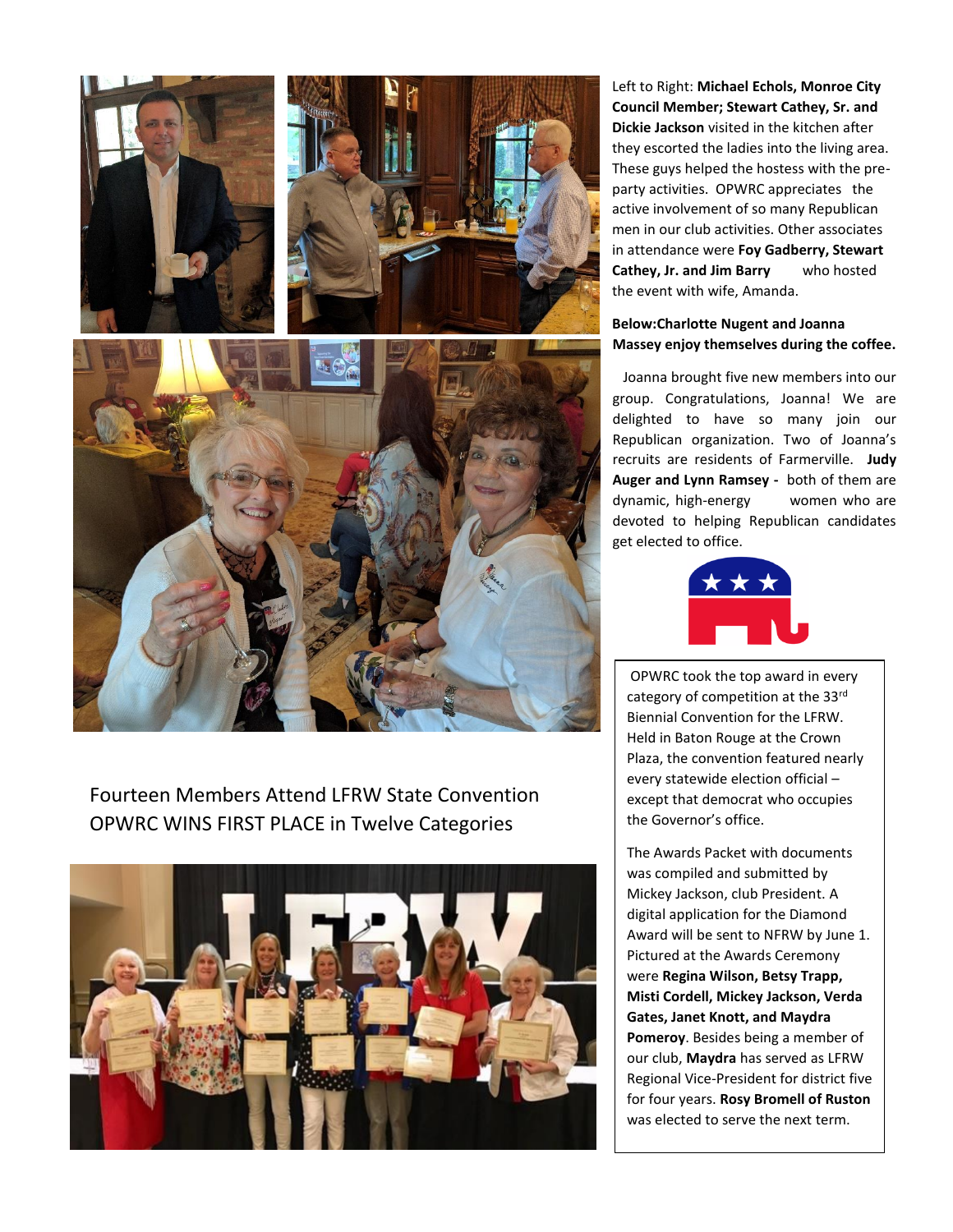

Fourteen Members Attend LFRW State Convention OPWRC WINS FIRST PLACE in Twelve Categories



Left to Right: **Michael Echols, Monroe City Council Member; Stewart Cathey, Sr. and Dickie Jackson** visited in the kitchen after they escorted the ladies into the living area. These guys helped the hostess with the preparty activities. OPWRC appreciates the active involvement of so many Republican men in our club activities. Other associates in attendance were **Foy Gadberry, Stewart Cathey, Jr. and Jim Barry** who hosted the event with wife, Amanda.

#### **Below:Charlotte Nugent and Joanna Massey enjoy themselves during the coffee.**

Joanna brought five new members into our group. Congratulations, Joanna! We are delighted to have so many join our Republican organization. Two of Joanna's recruits are residents of Farmerville. **Judy Auger and Lynn Ramsey -** both of them are dynamic, high-energy women who are devoted to helping Republican candidates get elected to office.



OPWRC took the top award in every category of competition at the 33rd Biennial Convention for the LFRW. Held in Baton Rouge at the Crown Plaza, the convention featured nearly every statewide election official – except that democrat who occupies the Governor's office.

The Awards Packet with documents was compiled and submitted by Mickey Jackson, club President. A digital application for the Diamond Award will be sent to NFRW by June 1. Pictured at the Awards Ceremony were **Regina Wilson, Betsy Trapp, Misti Cordell, Mickey Jackson, Verda Gates, Janet Knott, and Maydra Pomeroy**. Besides being a member of our club, **Maydra** has served as LFRW Regional Vice-President for district five for four years. **Rosy Bromell of Ruston** was elected to serve the next term.